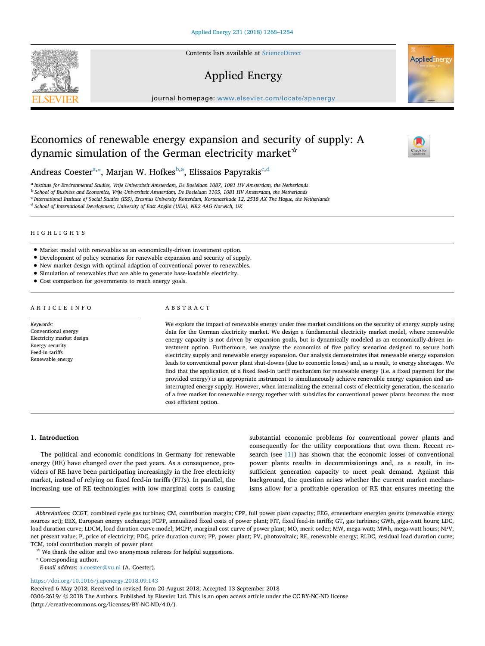Contents lists available at [ScienceDirect](http://www.sciencedirect.com/science/journal/03062619)

# Applied Energy

journal homepage: [www.elsevier.com/locate/apenergy](https://www.elsevier.com/locate/apenergy)

# Economics of renewable energy expansion and security of supply: A dynamic simulation of the German electricity market☆

Andreas Coester<sup>[a,](#page-0-0)</sup>\*, Marjan W. Hofkes<sup>[b,](#page-0-2)[a](#page-0-0)</sup>, Elissaios Papyrakis<sup>c,[d](#page-0-4)</sup>

<span id="page-0-0"></span><sup>a</sup> *Institute for Environmental Studies, Vrije Universiteit Amsterdam, De Boelelaan 1087, 1081 HV Amsterdam, the Netherlands*

<span id="page-0-2"></span><sup>b</sup> *School of Business and Economics, Vrije Universiteit Amsterdam, De Boelelaan 1105, 1081 HV Amsterdam, the Netherlands*

<span id="page-0-3"></span>c *International Institute of Social Studies (ISS), Erasmus University Rotterdam, Kortenaerkade 12, 2518 AX The Hague, the Netherlands*

<span id="page-0-4"></span><sup>d</sup> *School of International Development, University of East Anglia (UEA), NR2 4AG Norwich, UK*

# HIGHLIGHTS

- Market model with renewables as an economically-driven investment option.
- Development of policy scenarios for renewable expansion and security of supply.
- New market design with optimal adaption of conventional power to renewables.
- Simulation of renewables that are able to generate base-loadable electricity.
- Cost comparison for governments to reach energy goals.

# ARTICLE INFO

*Keywords:* Conventional energy Electricity market design Energy security Feed-in tariffs Renewable energy

# ABSTRACT

We explore the impact of renewable energy under free market conditions on the security of energy supply using data for the German electricity market. We design a fundamental electricity market model, where renewable energy capacity is not driven by expansion goals, but is dynamically modeled as an economically-driven investment option. Furthermore, we analyze the economics of five policy scenarios designed to secure both electricity supply and renewable energy expansion. Our analysis demonstrates that renewable energy expansion leads to conventional power plant shut-downs (due to economic losses) and, as a result, to energy shortages. We find that the application of a fixed feed-in tariff mechanism for renewable energy (i.e. a fixed payment for the provided energy) is an appropriate instrument to simultaneously achieve renewable energy expansion and uninterrupted energy supply. However, when internalizing the external costs of electricity generation, the scenario of a free market for renewable energy together with subsidies for conventional power plants becomes the most cost efficient option.

### **1. Introduction**

The political and economic conditions in Germany for renewable energy (RE) have changed over the past years. As a consequence, providers of RE have been participating increasingly in the free electricity market, instead of relying on fixed feed-in tariffs (FITs). In parallel, the increasing use of RE technologies with low marginal costs is causing substantial economic problems for conventional power plants and consequently for the utility corporations that own them. Recent research (see [\[1\]](#page-15-0)) has shown that the economic losses of conventional power plants results in decommissionings and, as a result, in insufficient generation capacity to meet peak demand. Against this background, the question arises whether the current market mechanisms allow for a profitable operation of RE that ensures meeting the

*E-mail address:* [a.coester@vu.nl](mailto:a.coester@vu.nl) (A. Coester).

<https://doi.org/10.1016/j.apenergy.2018.09.143>

Received 6 May 2018; Received in revised form 20 August 2018; Accepted 13 September 2018

0306-2619/ © 2018 The Authors. Published by Elsevier Ltd. This is an open access article under the CC BY-NC-ND license (http://creativecommons.org/licenses/BY-NC-ND/4.0/).







*Abbreviations:* CCGT, combined cycle gas turbines; CM, contribution margin; CPP, full power plant capacity; EEG, erneuerbare energien gesetz (renewable energy sources act); EEX, European energy exchange; FCPP, annualized fixed costs of power plant; FIT, fixed feed-in tariffs; GT, gas turbines; GWh, giga-watt hours; LDC, load duration curve; LDCM, load duration curve model; MCPP, marginal cost curve of power plant; MO, merit order; MW, mega-watt; MWh, mega-watt hours; NPV, net present value; P, price of electricity; PDC, price duration curve; PP, power plant; PV, photovoltaic; RE, renewable energy; RLDC, residual load duration curve; TCM, total contribution margin of power plant

 $\dot{\gamma}$  We thank the editor and two anonymous referees for helpful suggestions. \* Corresponding author.

<span id="page-0-1"></span>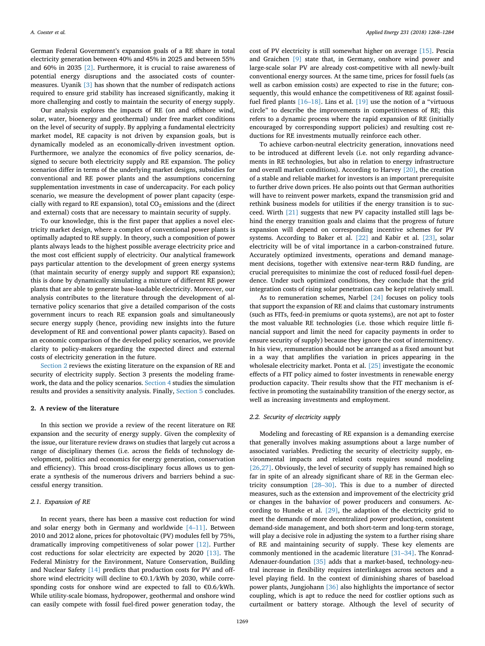German Federal Government's expansion goals of a RE share in total electricity generation between 40% and 45% in 2025 and between 55% and 60% in 2035 [\[2\].](#page-15-1) Furthermore, it is crucial to raise awareness of potential energy disruptions and the associated costs of countermeasures. Uyanik [\[3\]](#page-15-2) has shown that the number of redispatch actions required to ensure grid stability has increased significantly, making it more challenging and costly to maintain the security of energy supply.

Our analysis explores the impacts of RE (on and offshore wind, solar, water, bioenergy and geothermal) under free market conditions on the level of security of supply. By applying a fundamental electricity market model, RE capacity is not driven by expansion goals, but is dynamically modeled as an economically-driven investment option. Furthermore, we analyze the economics of five policy scenarios, designed to secure both electricity supply and RE expansion. The policy scenarios differ in terms of the underlying market designs, subsidies for conventional and RE power plants and the assumptions concerning supplementation investments in case of undercapacity. For each policy scenario, we measure the development of power plant capacity (especially with regard to RE expansion), total  $CO<sub>2</sub>$  emissions and the (direct and external) costs that are necessary to maintain security of supply.

To our knowledge, this is the first paper that applies a novel electricity market design, where a complex of conventional power plants is optimally adapted to RE supply. In theory, such a composition of power plants always leads to the highest possible average electricity price and the most cost efficient supply of electricity. Our analytical framework pays particular attention to the development of green energy systems (that maintain security of energy supply and support RE expansion); this is done by dynamically simulating a mixture of different RE power plants that are able to generate base-loadable electricity. Moreover, our analysis contributes to the literature through the development of alternative policy scenarios that give a detailed comparison of the costs government incurs to reach RE expansion goals and simultaneously secure energy supply (hence, providing new insights into the future development of RE and conventional power plants capacity). Based on an economic comparison of the developed policy scenarios, we provide clarity to policy-makers regarding the expected direct and external costs of electricity generation in the future.

[Section 2](#page-1-0) reviews the existing literature on the expansion of RE and security of electricity supply. Section 3 presents the modeling framework, the data and the policy scenarios. [Section 4](#page-11-0) studies the simulation results and provides a sensitivity analysis. Finally, [Section 5](#page-15-3) concludes.

## <span id="page-1-0"></span>**2. A review of the literature**

In this section we provide a review of the recent literature on RE expansion and the security of energy supply. Given the complexity of the issue, our literature review draws on studies that largely cut across a range of disciplinary themes (i.e. across the fields of technology development, politics and economics for energy generation, conservation and efficiency). This broad cross-disciplinary focus allows us to generate a synthesis of the numerous drivers and barriers behind a successful energy transition.

## *2.1. Expansion of RE*

In recent years, there has been a massive cost reduction for wind and solar energy both in Germany and worldwide [\[4–11\].](#page-15-4) Between 2010 and 2012 alone, prices for photovoltaic (PV) modules fell by 75%, dramatically improving competitiveness of solar power [\[12\].](#page-15-5) Further cost reductions for solar electricity are expected by 2020 [\[13\]](#page-15-6). The Federal Ministry for the Environment, Nature Conservation, Building and Nuclear Safety [\[14\]](#page-15-7) predicts that production costs for PV and offshore wind electricity will decline to  $\epsilon$ 0.1/kWh by 2030, while corresponding costs for onshore wind are expected to fall to  $\epsilon$ 0.6/kWh. While utility-scale biomass, hydropower, geothermal and onshore wind can easily compete with fossil fuel-fired power generation today, the

cost of PV electricity is still somewhat higher on average [\[15\].](#page-15-8) Pescia and Graichen [\[9\]](#page-15-9) state that, in Germany, onshore wind power and large-scale solar PV are already cost-competitive with all newly-built conventional energy sources. At the same time, prices for fossil fuels (as well as carbon emission costs) are expected to rise in the future; consequently, this would enhance the competitiveness of RE against fossilfuel fired plants [\[16–18\]](#page-15-10). Lins et al. [\[19\]](#page-15-11) use the notion of a "virtuous circle" to describe the improvements in competitiveness of RE; this refers to a dynamic process where the rapid expansion of RE (initially encouraged by corresponding support policies) and resulting cost reductions for RE investments mutually reinforce each other.

To achieve carbon-neutral electricity generation, innovations need to be introduced at different levels (i.e. not only regarding advancements in RE technologies, but also in relation to energy infrastructure and overall market conditions). According to Harvey [\[20\],](#page-15-12) the creation of a stable and reliable market for investors is an important prerequisite to further drive down prices. He also points out that German authorities will have to reinvent power markets, expand the transmission grid and rethink business models for utilities if the energy transition is to succeed. Wirth [\[21\]](#page-15-13) suggests that new PV capacity installed still lags behind the energy transition goals and claims that the progress of future expansion will depend on corresponding incentive schemes for PV systems. According to Baker et al. [\[22\]](#page-15-14) and Kabir et al. [\[23\],](#page-15-15) solar electricity will be of vital importance in a carbon-constrained future. Accurately optimized investments, operations and demand management decisions, together with extensive near-term R&D funding, are crucial prerequisites to minimize the cost of reduced fossil-fuel dependence. Under such optimized conditions, they conclude that the grid integration costs of rising solar penetration can be kept relatively small.

As to remuneration schemes, Narbel [\[24\]](#page-15-16) focuses on policy tools that support the expansion of RE and claims that customary instruments (such as FITs, feed-in premiums or quota systems), are not apt to foster the most valuable RE technologies (i.e. those which require little financial support and limit the need for capacity payments in order to ensure security of supply) because they ignore the cost of intermittency. In his view, remuneration should not be arranged as a fixed amount but in a way that amplifies the variation in prices appearing in the wholesale electricity market. Ponta et al. [\[25\]](#page-15-17) investigate the economic effects of a FIT policy aimed to foster investments in renewable energy production capacity. Their results show that the FIT mechanism is effective in promoting the sustainability transition of the energy sector, as well as increasing investments and employment.

### *2.2. Security of electricity supply*

Modeling and forecasting of RE expansion is a demanding exercise that generally involves making assumptions about a large number of associated variables. Predicting the security of electricity supply, environmental impacts and related costs requires sound modeling [\[26,27\].](#page-15-18) Obviously, the level of security of supply has remained high so far in spite of an already significant share of RE in the German electricity consumption [\[28–30\]](#page-15-19). This is due to a number of directed measures, such as the extension and improvement of the electricity grid or changes in the bahavior of power producers and consumers. According to Huneke et al. [\[29\]](#page-15-20), the adaption of the electricity grid to meet the demands of more decentralized power production, consistent demand-side management, and both short-term and long-term storage, will play a decisive role in adjusting the system to a further rising share of RE and maintaining security of supply. These key elements are commonly mentioned in the academic literature [\[31–34\]](#page-15-21). The Konrad-Adenauer-foundation [\[35\]](#page-16-0) adds that a market-based, technology-neutral increase in flexibility requires interlinkages across sectors and a level playing field. In the context of diminishing shares of baseload power plants, Jungjohann [\[36\]](#page-16-1) also highlights the importance of sector coupling, which is apt to reduce the need for costlier options such as curtailment or battery storage. Although the level of security of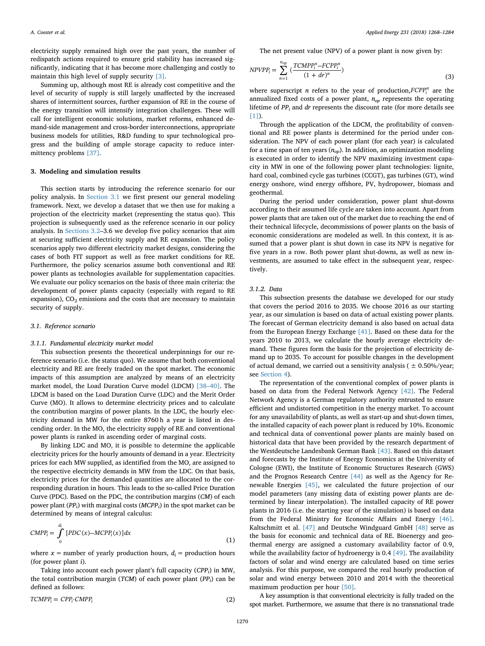electricity supply remained high over the past years, the number of redispatch actions required to ensure grid stability has increased significantly, indicating that it has become more challenging and costly to maintain this high level of supply security [\[3\]](#page-15-2).

Summing up, although most RE is already cost competitive and the level of security of supply is still largely unaffected by the increased shares of intermittent sources, further expansion of RE in the course of the energy transition will intensify integration challenges. These will call for intelligent economic solutions, market reforms, enhanced demand-side management and cross-border interconnections, appropriate business models for utilities, R&D funding to spur technological progress and the building of ample storage capacity to reduce intermittency problems [\[37\]](#page-16-2).

#### **3. Modeling and simulation results**

This section starts by introducing the reference scenario for our policy analysis. In [Section 3.1](#page-2-0) we first present our general modeling framework. Next, we develop a dataset that we then use for making a projection of the electricity market (representing the status quo). This projection is subsequently used as the reference scenario in our policy analysis. In [Sections 3.2–](#page-3-0)3.6 we develop five policy scenarios that aim at securing sufficient electricity supply and RE expansion. The policy scenarios apply two different electricity market designs, considering the cases of both FIT support as well as free market conditions for RE. Furthermore, the policy scenarios assume both conventional and RE power plants as technologies available for supplementation capacities. We evaluate our policy scenarios on the basis of three main criteria: the development of power plants capacity (especially with regard to RE expansion),  $CO<sub>2</sub>$  emissions and the costs that are necessary to maintain security of supply.

#### <span id="page-2-0"></span>*3.1. Reference scenario*

#### <span id="page-2-1"></span>*3.1.1. Fundamental electricity market model*

This subsection presents the theoretical underpinnings for our reference scenario (i.e. the status quo). We assume that both conventional electricity and RE are freely traded on the spot market. The economic impacts of this assumption are analyzed by means of an electricity market model, the Load Duration Curve model (LDCM) [\[38–40\]](#page-16-3). The LDCM is based on the Load Duration Curve (LDC) and the Merit Order Curve (MO). It allows to determine electricity prices and to calculate the contribution margins of power plants. In the LDC, the hourly electricity demand in MW for the entire 8760 h a year is listed in descending order. In the MO, the electricity supply of RE and conventional power plants is ranked in ascending order of marginal costs.

By linking LDC and MO, it is possible to determine the applicable electricity prices for the hourly amounts of demand in a year. Electricity prices for each MW supplied, as identified from the MO, are assigned to the respective electricity demands in MW from the LDC. On that basis, electricity prices for the demanded quantities are allocated to the corresponding duration in hours. This leads to the so-called Price Duration Curve (PDC). Based on the PDC, the contribution margins (*CM*) of each power plant (*PPi*) with marginal costs (*MCPPi*) in the spot market can be determined by means of integral calculus:

$$
CMPP_i = \int_0^{d_i} [PDC(x) - MCPP_i(x)]dx
$$
\n(1)

where  $x =$  number of yearly production hours,  $d_i =$  production hours (for power plant *i*).

Taking into account each power plant's full capacity (*CPPi*) in MW, the total contribution margin (*TCM*) of each power plant (*PPi*) can be defined as follows:

$$
TCMPP_i = CPP_i \cdot CMPP_i \tag{2}
$$

The net present value (NPV) of a power plant is now given by:

$$
NPVPP_i = \sum_{n=1}^{n_{op}} \left( \frac{TCMPP_i^n - FCPP_i^n}{(1 + dr)^n} \right) \tag{3}
$$

where superscript  $n$  refers to the year of production,  $FCPP_i^n$  are the annualized fixed costs of a power plant,  $n_{op}$  represents the operating lifetime of *PPi* and *dr* represents the discount rate (for more details see [\[1\]\)](#page-15-0).

Through the application of the LDCM, the profitability of conventional and RE power plants is determined for the period under consideration. The NPV of each power plant (for each year) is calculated for a time span of ten years  $(n_{op})$ . In addition, an optimization modeling is executed in order to identify the NPV maximizing investment capacity in MW in one of the following power plant technologies: lignite, hard coal, combined cycle gas turbines (CCGT), gas turbines (GT), wind energy onshore, wind energy offshore, PV, hydropower, biomass and geothermal.

During the period under consideration, power plant shut-downs according to their assumed life cycle are taken into account. Apart from power plants that are taken out of the market due to reaching the end of their technical lifecycle, decommissions of power plants on the basis of economic considerations are modeled as well. In this context, it is assumed that a power plant is shut down in case its NPV is negative for five years in a row. Both power plant shut-downs, as well as new investments, are assumed to take effect in the subsequent year, respectively.

#### *3.1.2. Data*

This subsection presents the database we developed for our study that covers the period 2016 to 2035. We choose 2016 as our starting year, as our simulation is based on data of actual existing power plants. The forecast of German electricity demand is also based on actual data from the European Energy Exchange [\[41\]](#page-16-4). Based on these data for the years 2010 to 2013, we calculate the hourly average electricity demand. These figures form the basis for the projection of electricity demand up to 2035. To account for possible changes in the development of actual demand, we carried out a sensitivity analysis ( $\pm$  0.50%/year; see [Section 4](#page-11-0)).

The representation of the conventional complex of power plants is based on data from the Federal Network Agency [\[42\]](#page-16-5). The Federal Network Agency is a German regulatory authority entrusted to ensure efficient and undistorted competition in the energy market. To account for any unavailability of plants, as well as start-up and shut-down times, the installed capacity of each power plant is reduced by 10%. Economic and technical data of conventional power plants are mainly based on historical data that have been provided by the research department of the Westdeutsche Landesbank German Bank [\[43\].](#page-16-6) Based on this dataset and forecasts by the Institute of Energy Economics at the University of Cologne (EWI), the Institute of Economic Structures Research (GWS) and the Prognos Research Centre [\[44\]](#page-16-7) as well as the Agency for Renewable Energies [\[45\],](#page-16-8) we calculated the future projection of our model parameters (any missing data of existing power plants are determined by linear interpolation). The installed capacity of RE power plants in 2016 (i.e. the starting year of the simulation) is based on data from the Federal Ministry for Economic Affairs and Energy [\[46\]](#page-16-9). Kaltschmitt et al. [\[47\]](#page-16-10) and Deutsche Windguard GmbH [\[48\]](#page-16-11) serve as the basis for economic and technical data of RE. Bioenergy and geothermal energy are assigned a customary availability factor of 0.9, while the availability factor of hydroenergy is 0.4 [\[49\]](#page-16-12). The availability factors of solar and wind energy are calculated based on time series analysis. For this purpose, we compared the real hourly production of solar and wind energy between 2010 and 2014 with the theoretical maximum production per hour [\[50\]](#page-16-13).

A key assumption is that conventional electricity is fully traded on the spot market. Furthermore, we assume that there is no transnational trade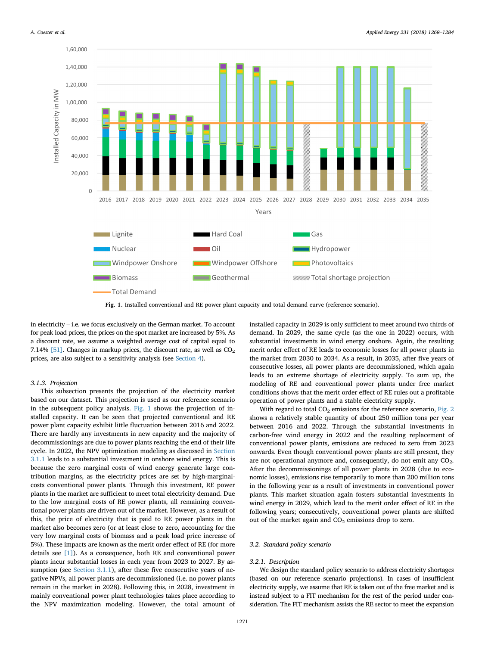<span id="page-3-1"></span>

**Fig. 1.** Installed conventional and RE power plant capacity and total demand curve (reference scenario).

in electricity – i.e. we focus exclusively on the German market. To account for peak load prices, the prices on the spot market are increased by 5%. As a discount rate, we assume a weighted average cost of capital equal to 7.14% [\[51\]](#page-16-14). Changes in markup prices, the discount rate, as well as  $CO<sub>2</sub>$ prices, are also subject to a sensitivity analysis (see [Section 4](#page-11-0)).

#### <span id="page-3-2"></span>*3.1.3. Projection*

This subsection presents the projection of the electricity market based on our dataset. This projection is used as our reference scenario in the subsequent policy analysis. [Fig. 1](#page-3-1) shows the projection of installed capacity. It can be seen that projected conventional and RE power plant capacity exhibit little fluctuation between 2016 and 2022. There are hardly any investments in new capacity and the majority of decommissionings are due to power plants reaching the end of their life cycle. In 2022, the NPV optimization modeling as discussed in [Section](#page-2-1) [3.1.1](#page-2-1) leads to a substantial investment in onshore wind energy. This is because the zero marginal costs of wind energy generate large contribution margins, as the electricity prices are set by high-marginalcosts conventional power plants. Through this investment, RE power plants in the market are sufficient to meet total electricity demand. Due to the low marginal costs of RE power plants, all remaining conventional power plants are driven out of the market. However, as a result of this, the price of electricity that is paid to RE power plants in the market also becomes zero (or at least close to zero, accounting for the very low marginal costs of biomass and a peak load price increase of 5%). These impacts are known as the merit order effect of RE (for more details see [\[1\]\)](#page-15-0). As a consequence, both RE and conventional power plants incur substantial losses in each year from 2023 to 2027. By as-sumption (see [Section 3.1.1](#page-2-1)), after these five consecutive years of negative NPVs, all power plants are decommissioned (i.e. no power plants remain in the market in 2028). Following this, in 2028, investment in mainly conventional power plant technologies takes place according to the NPV maximization modeling. However, the total amount of installed capacity in 2029 is only sufficient to meet around two thirds of demand. In 2029, the same cycle (as the one in 2022) occurs, with substantial investments in wind energy onshore. Again, the resulting merit order effect of RE leads to economic losses for all power plants in the market from 2030 to 2034. As a result, in 2035, after five years of consecutive losses, all power plants are decommissioned, which again leads to an extreme shortage of electricity supply. To sum up, the modeling of RE and conventional power plants under free market conditions shows that the merit order effect of RE rules out a profitable operation of power plants and a stable electricity supply.

With regard to total  $CO<sub>2</sub>$  emissions for the reference scenario, [Fig. 2](#page-4-0) shows a relatively stable quantity of about 250 million tons per year between 2016 and 2022. Through the substantial investments in carbon-free wind energy in 2022 and the resulting replacement of conventional power plants, emissions are reduced to zero from 2023 onwards. Even though conventional power plants are still present, they are not operational anymore and, consequently, do not emit any  $CO<sub>2</sub>$ . After the decommissionings of all power plants in 2028 (due to economic losses), emissions rise temporarily to more than 200 million tons in the following year as a result of investments in conventional power plants. This market situation again fosters substantial investments in wind energy in 2029, which lead to the merit order effect of RE in the following years; consecutively, conventional power plants are shifted out of the market again and  $CO<sub>2</sub>$  emissions drop to zero.

# <span id="page-3-0"></span>*3.2. Standard policy scenario*

#### *3.2.1. Description*

We design the standard policy scenario to address electricity shortages (based on our reference scenario projections). In cases of insufficient electricity supply, we assume that RE is taken out of the free market and is instead subject to a FIT mechanism for the rest of the period under consideration. The FIT mechanism assists the RE sector to meet the expansion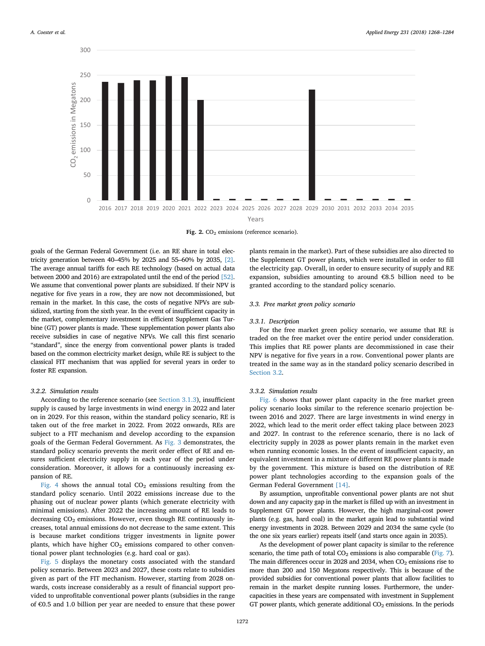<span id="page-4-0"></span>

Fig. 2. CO<sub>2</sub> emissions (reference scenario).

goals of the German Federal Government (i.e. an RE share in total electricity generation between 40–45% by 2025 and 55–60% by 2035, [\[2\]](#page-15-1). The average annual tariffs for each RE technology (based on actual data between 2000 and 2016) are extrapolated until the end of the period [\[52\]](#page-16-15). We assume that conventional power plants are subsidized. If their NPV is negative for five years in a row, they are now not decommissioned, but remain in the market. In this case, the costs of negative NPVs are subsidized, starting from the sixth year. In the event of insufficient capacity in the market, complementary investment in efficient Supplement Gas Turbine (GT) power plants is made. These supplementation power plants also receive subsidies in case of negative NPVs. We call this first scenario "standard", since the energy from conventional power plants is traded based on the common electricity market design, while RE is subject to the classical FIT mechanism that was applied for several years in order to foster RE expansion.

#### *3.2.2. Simulation results*

According to the reference scenario (see [Section 3.1.3](#page-3-2)), insufficient supply is caused by large investments in wind energy in 2022 and later on in 2029. For this reason, within the standard policy scenario, RE is taken out of the free market in 2022. From 2022 onwards, REs are subject to a FIT mechanism and develop according to the expansion goals of the German Federal Government. As [Fig. 3](#page-5-0) demonstrates, the standard policy scenario prevents the merit order effect of RE and ensures sufficient electricity supply in each year of the period under consideration. Moreover, it allows for a continuously increasing expansion of RE.

[Fig. 4](#page-5-1) shows the annual total  $CO<sub>2</sub>$  emissions resulting from the standard policy scenario. Until 2022 emissions increase due to the phasing out of nuclear power plants (which generate electricity with minimal emissions). After 2022 the increasing amount of RE leads to decreasing  $CO<sub>2</sub>$  emissions. However, even though RE continuously increases, total annual emissions do not decrease to the same extent. This is because market conditions trigger investments in lignite power plants, which have higher  $CO<sub>2</sub>$  emissions compared to other conventional power plant technologies (e.g. hard coal or gas).

[Fig. 5](#page-6-0) displays the monetary costs associated with the standard policy scenario. Between 2023 and 2027, these costs relate to subsidies given as part of the FIT mechanism. However, starting from 2028 onwards, costs increase considerably as a result of financial support provided to unprofitable conventional power plants (subsidies in the range of €0.5 and 1.0 billion per year are needed to ensure that these power

plants remain in the market). Part of these subsidies are also directed to the Supplement GT power plants, which were installed in order to fill the electricity gap. Overall, in order to ensure security of supply and RE expansion, subsidies amounting to around €8.5 billion need to be granted according to the standard policy scenario.

#### *3.3. Free market green policy scenario*

# *3.3.1. Description*

For the free market green policy scenario, we assume that RE is traded on the free market over the entire period under consideration. This implies that RE power plants are decommissioned in case their NPV is negative for five years in a row. Conventional power plants are treated in the same way as in the standard policy scenario described in [Section 3.2](#page-3-0).

### *3.3.2. Simulation results*

[Fig. 6](#page-6-1) shows that power plant capacity in the free market green policy scenario looks similar to the reference scenario projection between 2016 and 2027. There are large investments in wind energy in 2022, which lead to the merit order effect taking place between 2023 and 2027. In contrast to the reference scenario, there is no lack of electricity supply in 2028 as power plants remain in the market even when running economic losses. In the event of insufficient capacity, an equivalent investment in a mixture of different RE power plants is made by the government. This mixture is based on the distribution of RE power plant technologies according to the expansion goals of the German Federal Government [\[14\].](#page-15-7)

By assumption, unprofitable conventional power plants are not shut down and any capacity gap in the market is filled up with an investment in Supplement GT power plants. However, the high marginal-cost power plants (e.g. gas, hard coal) in the market again lead to substantial wind energy investments in 2028. Between 2029 and 2034 the same cycle (to the one six years earlier) repeats itself (and starts once again in 2035).

As the development of power plant capacity is similar to the reference scenario, the time path of total  $CO<sub>2</sub>$  emissions is also comparable [\(Fig. 7\)](#page-7-0). The main differences occur in 2028 and 2034, when  $CO<sub>2</sub>$  emissions rise to more than 200 and 150 Megatons respectively. This is because of the provided subsidies for conventional power plants that allow facilities to remain in the market despite running losses. Furthermore, the undercapacities in these years are compensated with investment in Supplement GT power plants, which generate additional  $CO<sub>2</sub>$  emissions. In the periods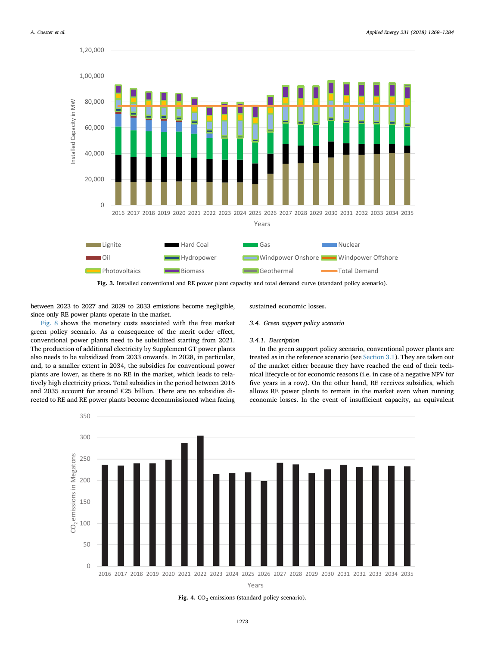<span id="page-5-0"></span>

between 2023 to 2027 and 2029 to 2033 emissions become negligible, since only RE power plants operate in the market.

sustained economic losses.

[Fig. 8](#page-7-1) shows the monetary costs associated with the free market green policy scenario. As a consequence of the merit order effect, conventional power plants need to be subsidized starting from 2021. The production of additional electricity by Supplement GT power plants

also needs to be subsidized from 2033 onwards. In 2028, in particular, and, to a smaller extent in 2034, the subsidies for conventional power plants are lower, as there is no RE in the market, which leads to relatively high electricity prices. Total subsidies in the period between 2016 and 2035 account for around €25 billion. There are no subsidies directed to RE and RE power plants become decommissioned when facing *3.4. Green support policy scenario*

### <span id="page-5-2"></span>*3.4.1. Description*

In the green support policy scenario, conventional power plants are treated as in the reference scenario (see [Section 3.1](#page-2-0)). They are taken out of the market either because they have reached the end of their technical lifecycle or for economic reasons (i.e. in case of a negative NPV for five years in a row). On the other hand, RE receives subsidies, which allows RE power plants to remain in the market even when running economic losses. In the event of insufficient capacity, an equivalent

<span id="page-5-1"></span>

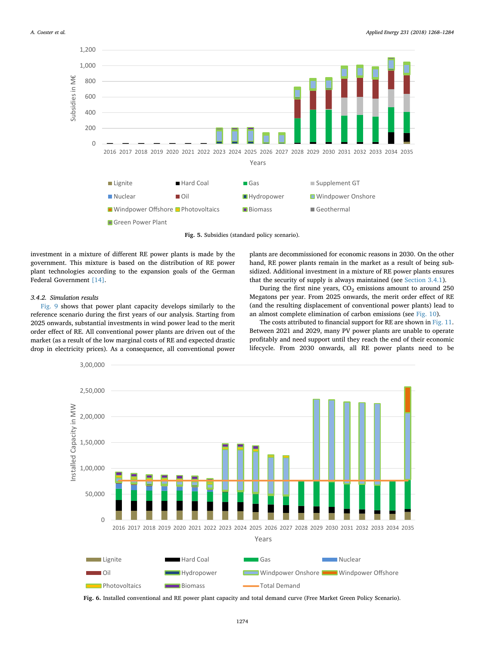<span id="page-6-0"></span>

**Fig. 5.** Subsidies (standard policy scenario).

investment in a mixture of different RE power plants is made by the government. This mixture is based on the distribution of RE power plant technologies according to the expansion goals of the German Federal Government [\[14\]](#page-15-7).

# *3.4.2. Simulation results*

[Fig. 9](#page-8-0) shows that power plant capacity develops similarly to the reference scenario during the first years of our analysis. Starting from 2025 onwards, substantial investments in wind power lead to the merit order effect of RE. All conventional power plants are driven out of the market (as a result of the low marginal costs of RE and expected drastic drop in electricity prices). As a consequence, all conventional power

plants are decommissioned for economic reasons in 2030. On the other hand, RE power plants remain in the market as a result of being subsidized. Additional investment in a mixture of RE power plants ensures that the security of supply is always maintained (see [Section 3.4.1\)](#page-5-2).

During the first nine years,  $CO<sub>2</sub>$  emissions amount to around 250 Megatons per year. From 2025 onwards, the merit order effect of RE (and the resulting displacement of conventional power plants) lead to an almost complete elimination of carbon emissions (see [Fig. 10](#page-8-1)).

The costs attributed to financial support for RE are shown in [Fig. 11](#page-9-0). Between 2021 and 2029, many PV power plants are unable to operate profitably and need support until they reach the end of their economic lifecycle. From 2030 onwards, all RE power plants need to be

<span id="page-6-1"></span>

**Fig. 6.** Installed conventional and RE power plant capacity and total demand curve (Free Market Green Policy Scenario).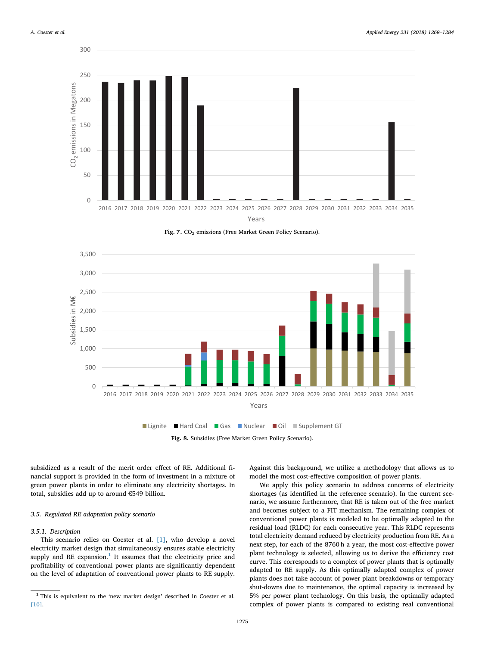<span id="page-7-0"></span>

Fig. 7. CO<sub>2</sub> emissions (Free Market Green Policy Scenario).

<span id="page-7-1"></span>

**Fig. 8.** Subsidies (Free Market Green Policy Scenario).

subsidized as a result of the merit order effect of RE. Additional financial support is provided in the form of investment in a mixture of green power plants in order to eliminate any electricity shortages. In total, subsidies add up to around €549 billion.

# *3.5. Regulated RE adaptation policy scenario*

### *3.5.1. Description*

This scenario relies on Coester et al. [\[1\],](#page-15-0) who develop a novel electricity market design that simultaneously ensures stable electricity supply and RE expansion. $<sup>1</sup>$  $<sup>1</sup>$  $<sup>1</sup>$  It assumes that the electricity price and</sup> profitability of conventional power plants are significantly dependent on the level of adaptation of conventional power plants to RE supply.

Against this background, we utilize a methodology that allows us to model the most cost-effective composition of power plants.

We apply this policy scenario to address concerns of electricity shortages (as identified in the reference scenario). In the current scenario, we assume furthermore, that RE is taken out of the free market and becomes subject to a FIT mechanism. The remaining complex of conventional power plants is modeled to be optimally adapted to the residual load (RLDC) for each consecutive year. This RLDC represents total electricity demand reduced by electricity production from RE. As a next step, for each of the 8760 h a year, the most cost-effective power plant technology is selected, allowing us to derive the efficiency cost curve. This corresponds to a complex of power plants that is optimally adapted to RE supply. As this optimally adapted complex of power plants does not take account of power plant breakdowns or temporary shut-downs due to maintenance, the optimal capacity is increased by 5% per power plant technology. On this basis, the optimally adapted complex of power plants is compared to existing real conventional

<span id="page-7-2"></span><sup>1</sup> This is equivalent to the 'new market design' described in Coester et al. [\[10\].](#page-15-22)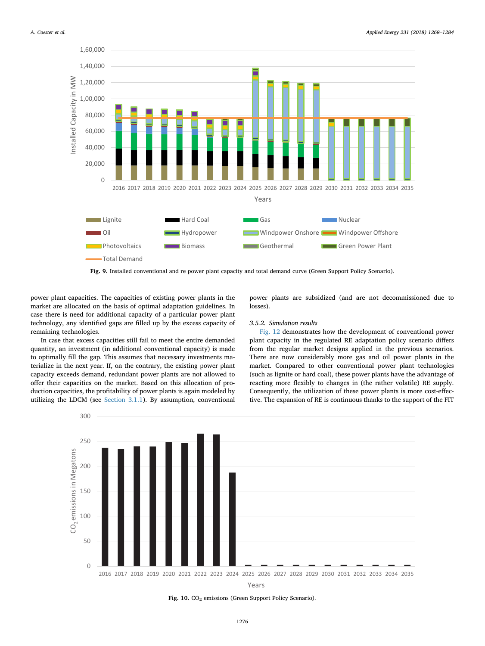<span id="page-8-0"></span>

**Fig. 9.** Installed conventional and re power plant capacity and total demand curve (Green Support Policy Scenario).

power plant capacities. The capacities of existing power plants in the market are allocated on the basis of optimal adaptation guidelines. In case there is need for additional capacity of a particular power plant technology, any identified gaps are filled up by the excess capacity of remaining technologies.

In case that excess capacities still fail to meet the entire demanded quantity, an investment (in additional conventional capacity) is made to optimally fill the gap. This assumes that necessary investments materialize in the next year. If, on the contrary, the existing power plant capacity exceeds demand, redundant power plants are not allowed to offer their capacities on the market. Based on this allocation of production capacities, the profitability of power plants is again modeled by utilizing the LDCM (see [Section 3.1.1\)](#page-2-1). By assumption, conventional power plants are subsidized (and are not decommissioned due to losses).

## *3.5.2. Simulation results*

[Fig. 12](#page-9-1) demonstrates how the development of conventional power plant capacity in the regulated RE adaptation policy scenario differs from the regular market designs applied in the previous scenarios. There are now considerably more gas and oil power plants in the market. Compared to other conventional power plant technologies (such as lignite or hard coal), these power plants have the advantage of reacting more flexibly to changes in (the rather volatile) RE supply. Consequently, the utilization of these power plants is more cost-effective. The expansion of RE is continuous thanks to the support of the FIT

<span id="page-8-1"></span>

Fig. 10. CO<sub>2</sub> emissions (Green Support Policy Scenario).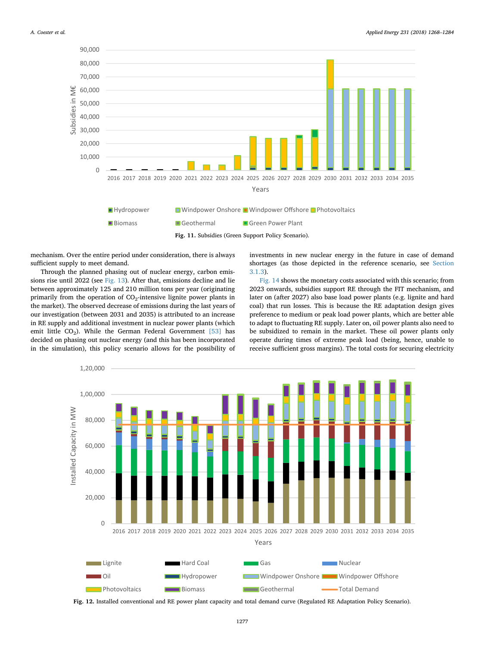<span id="page-9-0"></span>

mechanism. Over the entire period under consideration, there is always sufficient supply to meet demand.

Through the planned phasing out of nuclear energy, carbon emissions rise until 2022 (see [Fig. 13](#page-10-0)). After that, emissions decline and lie between approximately 125 and 210 million tons per year (originating primarily from the operation of  $CO<sub>2</sub>$ -intensive lignite power plants in the market). The observed decrease of emissions during the last years of our investigation (between 2031 and 2035) is attributed to an increase in RE supply and additional investment in nuclear power plants (which emit little  $CO<sub>2</sub>$ ). While the German Federal Government [\[53\]](#page-16-16) has decided on phasing out nuclear energy (and this has been incorporated in the simulation), this policy scenario allows for the possibility of investments in new nuclear energy in the future in case of demand shortages (as those depicted in the reference scenario, see [Section](#page-3-2) [3.1.3\)](#page-3-2).

[Fig. 14](#page-10-1) shows the monetary costs associated with this scenario; from 2023 onwards, subsidies support RE through the FIT mechanism, and later on (after 2027) also base load power plants (e.g. lignite and hard coal) that run losses. This is because the RE adaptation design gives preference to medium or peak load power plants, which are better able to adapt to fluctuating RE supply. Later on, oil power plants also need to be subsidized to remain in the market. These oil power plants only operate during times of extreme peak load (being, hence, unable to receive sufficient gross margins). The total costs for securing electricity

<span id="page-9-1"></span>

**Fig. 12.** Installed conventional and RE power plant capacity and total demand curve (Regulated RE Adaptation Policy Scenario).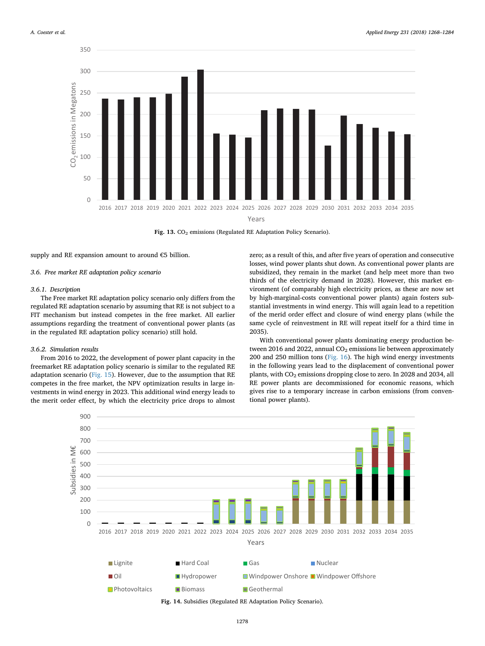<span id="page-10-0"></span>

Fig. 13. CO<sub>2</sub> emissions (Regulated RE Adaptation Policy Scenario).

supply and RE expansion amount to around €5 billion.

#### *3.6. Free market RE adaptation policy scenario*

#### *3.6.1. Description*

The Free market RE adaptation policy scenario only differs from the regulated RE adaptation scenario by assuming that RE is not subject to a FIT mechanism but instead competes in the free market. All earlier assumptions regarding the treatment of conventional power plants (as in the regulated RE adaptation policy scenario) still hold.

# *3.6.2. Simulation results*

From 2016 to 2022, the development of power plant capacity in the freemarket RE adaptation policy scenario is similar to the regulated RE adaptation scenario ([Fig. 15](#page-11-1)). However, due to the assumption that RE competes in the free market, the NPV optimization results in large investments in wind energy in 2023. This additional wind energy leads to the merit order effect, by which the electricity price drops to almost

zero; as a result of this, and after five years of operation and consecutive losses, wind power plants shut down. As conventional power plants are subsidized, they remain in the market (and help meet more than two thirds of the electricity demand in 2028). However, this market environment (of comparably high electricity prices, as these are now set by high-marginal-costs conventional power plants) again fosters substantial investments in wind energy. This will again lead to a repetition of the merid order effect and closure of wind energy plans (while the same cycle of reinvestment in RE will repeat itself for a third time in 2035).

With conventional power plants dominating energy production between 2016 and 2022, annual  $CO<sub>2</sub>$  emissions lie between approximately 200 and 250 million tons [\(Fig. 16](#page-11-2)). The high wind energy investments in the following years lead to the displacement of conventional power plants, with  $CO<sub>2</sub>$  emissions dropping close to zero. In 2028 and 2034, all RE power plants are decommissioned for economic reasons, which gives rise to a temporary increase in carbon emissions (from conventional power plants).

<span id="page-10-1"></span>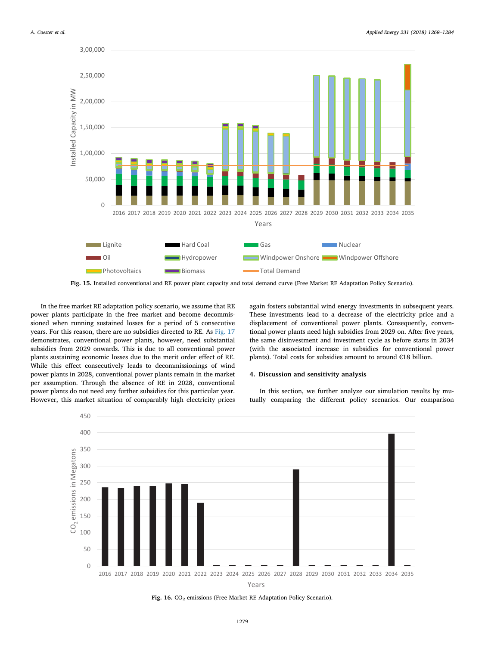<span id="page-11-1"></span>

**Fig. 15.** Installed conventional and RE power plant capacity and total demand curve (Free Market RE Adaptation Policy Scenario).

In the free market RE adaptation policy scenario, we assume that RE power plants participate in the free market and become decommissioned when running sustained losses for a period of 5 consecutive years. For this reason, there are no subsidies directed to RE. As [Fig. 17](#page-12-0) demonstrates, conventional power plants, however, need substantial subsidies from 2029 onwards. This is due to all conventional power plants sustaining economic losses due to the merit order effect of RE. While this effect consecutively leads to decommissionings of wind power plants in 2028, conventional power plants remain in the market per assumption. Through the absence of RE in 2028, conventional power plants do not need any further subsidies for this particular year. However, this market situation of comparably high electricity prices again fosters substantial wind energy investments in subsequent years. These investments lead to a decrease of the electricity price and a displacement of conventional power plants. Consequently, conventional power plants need high subsidies from 2029 on. After five years, the same disinvestment and investment cycle as before starts in 2034 (with the associated increase in subsidies for conventional power plants). Total costs for subsidies amount to around €18 billion.

## <span id="page-11-0"></span>**4. Discussion and sensitivity analysis**

In this section, we further analyze our simulation results by mutually comparing the different policy scenarios. Our comparison

<span id="page-11-2"></span>

Fig. 16. CO<sub>2</sub> emissions (Free Market RE Adaptation Policy Scenario).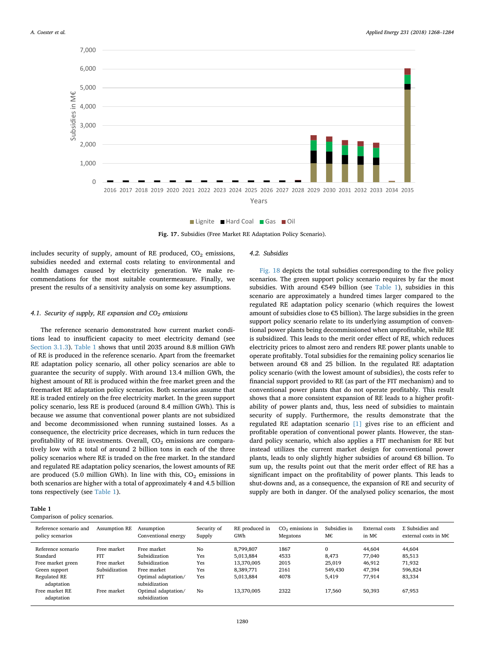<span id="page-12-0"></span>



**Fig. 17.** Subsidies (Free Market RE Adaptation Policy Scenario).

includes security of supply, amount of RE produced,  $CO<sub>2</sub>$  emissions, subsidies needed and external costs relating to environmental and health damages caused by electricity generation. We make recommendations for the most suitable countermeasure. Finally, we present the results of a sensitivity analysis on some key assumptions.

#### <span id="page-12-2"></span>*4.1. Security of supply, RE expansion and CO2 emissions*

The reference scenario demonstrated how current market conditions lead to insufficient capacity to meet electricity demand (see [Section 3.1.3\)](#page-3-2). [Table 1](#page-12-1) shows that until 2035 around 8.8 million GWh of RE is produced in the reference scenario. Apart from the freemarket RE adaptation policy scenario, all other policy scenarios are able to guarantee the security of supply. With around 13.4 million GWh, the highest amount of RE is produced within the free market green and the freemarket RE adaptation policy scenarios. Both scenarios assume that RE is traded entirely on the free electricity market. In the green support policy scenario, less RE is produced (around 8.4 million GWh). This is because we assume that conventional power plants are not subsidized and become decommissioned when running sustained losses. As a consequence, the electricity price decreases, which in turn reduces the profitability of RE investments. Overall,  $CO<sub>2</sub>$  emissions are comparatively low with a total of around 2 billion tons in each of the three policy scenarios where RE is traded on the free market. In the standard and regulated RE adaptation policy scenarios, the lowest amounts of RE are produced (5.0 million GWh). In line with this,  $CO<sub>2</sub>$  emissions in both scenarios are higher with a total of approximately 4 and 4.5 billion tons respectively (see [Table 1](#page-12-1)).

#### <span id="page-12-3"></span>*4.2. Subsidies*

[Fig. 18](#page-13-0) depicts the total subsidies corresponding to the five policy scenarios. The green support policy scenario requires by far the most subsidies. With around €549 billion (see [Table 1](#page-12-1)), subsidies in this scenario are approximately a hundred times larger compared to the regulated RE adaptation policy scenario (which requires the lowest amount of subsidies close to  $\mathfrak{S}5$  billion). The large subsidies in the green support policy scenario relate to its underlying assumption of conventional power plants being decommissioned when unprofitable, while RE is subsidized. This leads to the merit order effect of RE, which reduces electricity prices to almost zero and renders RE power plants unable to operate profitably. Total subsidies for the remaining policy scenarios lie between around €8 and 25 billion. In the regulated RE adaptation policy scenario (with the lowest amount of subsidies), the costs refer to financial support provided to RE (as part of the FIT mechanism) and to conventional power plants that do not operate profitably. This result shows that a more consistent expansion of RE leads to a higher profitability of power plants and, thus, less need of subsidies to maintain security of supply. Furthermore, the results demonstrate that the regulated RE adaptation scenario [\[1\]](#page-15-0) gives rise to an efficient and profitable operation of conventional power plants. However, the standard policy scenario, which also applies a FIT mechanism for RE but instead utilizes the current market design for conventional power plants, leads to only slightly higher subsidies of around €8 billion. To sum up, the results point out that the merit order effect of RE has a significant impact on the profitability of power plants. This leads to shut-downs and, as a consequence, the expansion of RE and security of supply are both in danger. Of the analysed policy scenarios, the most

<span id="page-12-1"></span>

| anıe |  |
|------|--|
|------|--|

Comparison of policy scenarios.

| Reference scenario and<br>policy scenarios | Assumption RE             | Assumption<br>Conventional energy    | Security of<br>Supply | RE produced in<br>GWh   | $CO2$ emissions in<br>Megatons | Subsidies in<br>M€ | External costs<br>in M€ | $\Sigma$ Subsidies and<br>external costs in $M\epsilon$ |
|--------------------------------------------|---------------------------|--------------------------------------|-----------------------|-------------------------|--------------------------------|--------------------|-------------------------|---------------------------------------------------------|
| Reference scenario<br>Standard             | Free market               | Free market<br>Subsidization         | No                    | 8.799.807               | 1867                           | $\mathbf{0}$       | 44.604<br>77,040        | 44,604                                                  |
| Free market green                          | <b>FIT</b><br>Free market | Subsidization                        | Yes<br>Yes            | 5,013,884<br>13,370,005 | 4533<br>2015                   | 8,473<br>25,019    | 46,912                  | 85,513<br>71,932                                        |
| Green support                              | Subsidization             | Free market                          | Yes                   | 8,389,771               | 2161                           | 549,430            | 47,394                  | 596,824                                                 |
| Regulated RE<br>adaptation                 | <b>FIT</b>                | Optimal adaptation/<br>subsidization | Yes                   | 5,013,884               | 4078                           | 5,419              | 77.914                  | 83,334                                                  |
| Free market RE<br>adaptation               | Free market               | Optimal adaptation/<br>subsidization | No                    | 13,370,005              | 2322                           | 17.560             | 50,393                  | 67,953                                                  |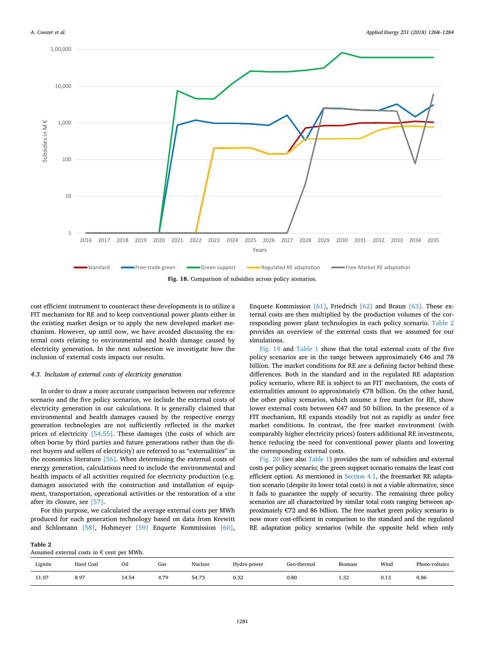<span id="page-13-0"></span>

**Fig. 18.** Comparison of subsidies across policy scenarios.

cost efficient instrument to counteract these developments is to utilize a FIT mechanism for RE and to keep conventional power plants either in the existing market design or to apply the new developed market mechanism. However, up until now, we have avoided discussing the external costs relating to environmental and health damage caused by electricity generation. In the next subsection we investigate how the inclusion of external costs impacts our results.

### *4.3. Inclusion of external costs of electricity generation*

In order to draw a more accurate comparison between our reference scenario and the five policy scenarios, we include the external costs of electricity generation in our calculations. It is generally claimed that environmental and health damages caused by the respective energy generation technologies are not sufficiently reflected in the market prices of electricity [\[54,55\].](#page-16-17) These damages (the costs of which are often borne by third parties and future generations rather than the direct buyers and sellers of electricity) are referred to as "externalities" in the economics literature [\[56\].](#page-16-18) When determining the external costs of energy generation, calculations need to include the environmental and health impacts of all activities required for electricity production (e.g. damages associated with the construction and installation of equipment, transportation, operational activities or the restoration of a site after its closure, see [\[57\]](#page-16-19).

For this purpose, we calculated the average external costs per MWh produced for each generation technology based on data from Krewitt and Schlomann [\[58\],](#page-16-20) Hohmeyer [\[59\]](#page-16-21) Enquete Kommission [\[60\]](#page-16-22),

Enquete Kommission [\[61\],](#page-16-23) Friedrich [\[62\]](#page-16-24) and Braun [\[63\].](#page-16-25) These external costs are then multiplied by the production volumes of the corresponding power plant technologies in each policy scenario. [Table 2](#page-13-1) provides an overview of the external costs that we assumed for our simulations.

[Fig. 19](#page-14-0) and [Table 1](#page-12-1) show that the total external costs of the five policy scenarios are in the range between approximately €46 and 78 billion. The market conditions for RE are a defining factor behind these differences. Both in the standard and in the regulated RE adaptation policy scenario, where RE is subject to an FIT mechanism, the costs of externalities amount to approximately  $\epsilon$ 78 billion. On the other hand, the other policy scenarios, which assume a free market for RE, show lower external costs between €47 and 50 billion. In the presence of a FIT mechanism, RE expands steadily but not as rapidly as under free market conditions. In contrast, the free market environment (with comparably higher electricity prices) fosters additional RE investments, hence reducing the need for conventional power plants and lowering the corresponding external costs.

[Fig. 20](#page-14-1) (see also [Table 1\)](#page-12-1) provides the sum of subsidies and external costs per policy scenario; the green support scenario remains the least cost efficient option. As mentioned in [Section 4.1,](#page-12-2) the freemarket RE adaptation scenario (despite its lower total costs) is not a viable alternative, since it fails to guarantee the supply of security. The remaining three policy scenarios are all characterized by similar total costs ranging between approximately €72 and 86 billion. The free market green policy scenario is now more cost-efficient in comparison to the standard and the regulated RE adaptation policy scenarios (while the opposite held when only

<span id="page-13-1"></span>

| ×<br>I |  |
|--------|--|
|--------|--|

Assumed external costs in € cent per MWh.

| Lignite | Hard Coal<br>- - - | Oil   | Gas         | Nuclear<br>. | Hydro-power | Geo-thermal | Biomass<br>. | Wind      | Photo-voltaics |
|---------|--------------------|-------|-------------|--------------|-------------|-------------|--------------|-----------|----------------|
| 11.07   | 8.97               | 14.54 | 70<br>T./ J | 54.73        | 0.32        | 0.80        | 1.32         | $_{0.13}$ | 0.86           |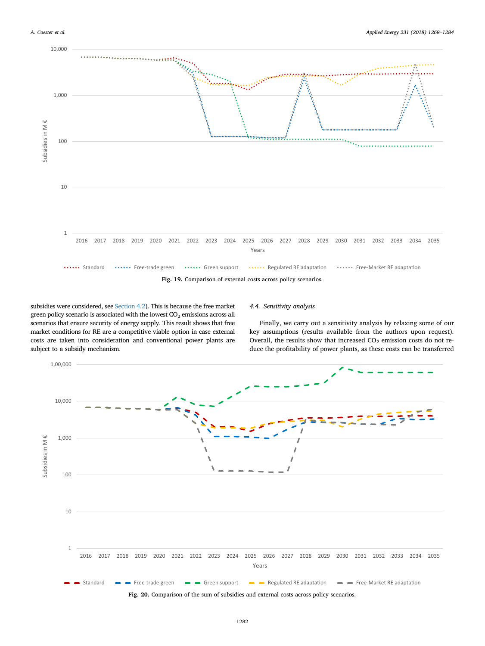<span id="page-14-0"></span>

subsidies were considered, see [Section 4.2](#page-12-3)). This is because the free market green policy scenario is associated with the lowest  $CO<sub>2</sub>$  emissions across all scenarios that ensure security of energy supply. This result shows that free market conditions for RE are a competitive viable option in case external costs are taken into consideration and conventional power plants are subject to a subsidy mechanism.

# *4.4. Sensitivity analysis*

Finally, we carry out a sensitivity analysis by relaxing some of our key assumptions (results available from the authors upon request). Overall, the results show that increased  $CO<sub>2</sub>$  emission costs do not reduce the profitability of power plants, as these costs can be transferred

<span id="page-14-1"></span>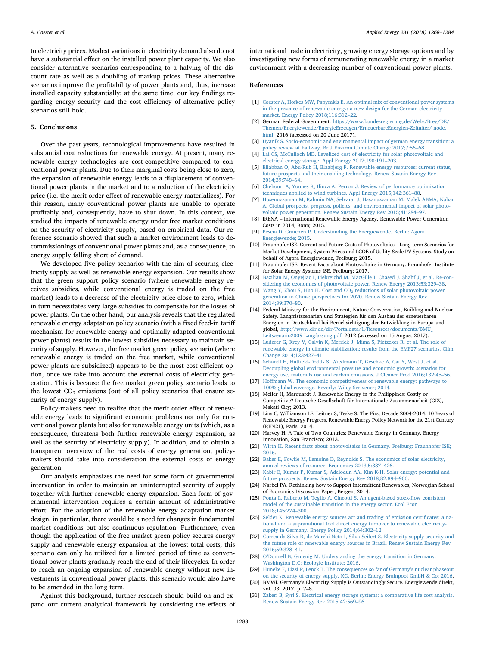to electricity prices. Modest variations in electricity demand also do not have a substantial effect on the installed power plant capacity. We also consider alternative scenarios corresponding to a halving of the discount rate as well as a doubling of markup prices. These alternative scenarios improve the profitability of power plants and, thus, increase installed capacity substantially; at the same time, our key findings regarding energy security and the cost efficiency of alternative policy scenarios still hold.

# <span id="page-15-3"></span>**5. Conclusions**

Over the past years, technological improvements have resulted in substantial cost reductions for renewable energy. At present, many renewable energy technologies are cost-competitive compared to conventional power plants. Due to their marginal costs being close to zero, the expansion of renewable energy leads to a displacement of conventional power plants in the market and to a reduction of the electricity price (i.e. the merit order effect of renewable energy materializes). For this reason, many conventional power plants are unable to operate profitably and, consequently, have to shut down. In this context, we studied the impacts of renewable energy under free market conditions on the security of electricity supply, based on empirical data. Our reference scenario showed that such a market environment leads to decommissionings of conventional power plants and, as a consequence, to energy supply falling short of demand.

We developed five policy scenarios with the aim of securing electricity supply as well as renewable energy expansion. Our results show that the green support policy scenario (where renewable energy receives subsidies, while conventional energy is traded on the free market) leads to a decrease of the electricity price close to zero, which in turn necessitates very large subsidies to compensate for the losses of power plants. On the other hand, our analysis reveals that the regulated renewable energy adaptation policy scenario (with a fixed feed-in tariff mechanism for renewable energy and optimally-adapted conventional power plants) results in the lowest subsidies necessary to maintain security of supply. However, the free market green policy scenario (where renewable energy is traded on the free market, while conventional power plants are subsidized) appears to be the most cost efficient option, once we take into account the external costs of electricity generation. This is because the free market green policy scenario leads to the lowest  $CO<sub>2</sub>$  emissions (out of all policy scenarios that ensure security of energy supply).

Policy-makers need to realize that the merit order effect of renewable energy leads to significant economic problems not only for conventional power plants but also for renewable energy units (which, as a consequence, threatens both further renewable energy expansion, as well as the security of electricity supply). In addition, and to obtain a transparent overview of the real costs of energy generation, policymakers should take into consideration the external costs of energy generation.

Our analysis emphasizes the need for some form of governmental intervention in order to maintain an uninterrupted security of supply together with further renewable energy expansion. Each form of governmental intervention requires a certain amount of administrative effort. For the adoption of the renewable energy adaptation market design, in particular, there would be a need for changes in fundamental market conditions but also continuous regulation. Furthermore, even though the application of the free market green policy secures energy supply and renewable energy expansion at the lowest total costs, this scenario can only be utilized for a limited period of time as conventional power plants gradually reach the end of their lifecycles. In order to reach an ongoing expansion of renewable energy without new investments in conventional power plants, this scenario would also have to be amended in the long term.

Against this background, further research should build on and expand our current analytical framework by considering the effects of

international trade in electricity, growing energy storage options and by investigating new forms of remunerating renewable energy in a market environment with a decreasing number of conventional power plants.

#### **References**

- <span id="page-15-0"></span>[1] [Coester A, Hofkes MW, Papyrakis E. An optimal mix of conventional power systems](http://refhub.elsevier.com/S0306-2619(18)31453-3/h0005) [in the presence of renewable energy: a new design for the German electricity](http://refhub.elsevier.com/S0306-2619(18)31453-3/h0005) [market. Energy Policy 2018;116:312–22.](http://refhub.elsevier.com/S0306-2619(18)31453-3/h0005)
- <span id="page-15-1"></span>[2] German Federal Government. [https://www.bundesregierung.de/Webs/Breg/DE/](https://www.bundesregierung.de/Webs/Breg/DE/Themen/Energiewende/EnergieErzeugen/ErneuerbareEnergien-Zeitalter/_node.html) [Themen/Energiewende/EnergieErzeugen/ErneuerbareEnergien-Zeitalter/\\_node.](https://www.bundesregierung.de/Webs/Breg/DE/Themen/Energiewende/EnergieErzeugen/ErneuerbareEnergien-Zeitalter/_node.html) [html;](https://www.bundesregierung.de/Webs/Breg/DE/Themen/Energiewende/EnergieErzeugen/ErneuerbareEnergien-Zeitalter/_node.html) 2016 (accessed on 20 June 2017).
- <span id="page-15-2"></span>[3] [Uyanik S. Socio-economic and environmental impact of german energy transition: a](http://refhub.elsevier.com/S0306-2619(18)31453-3/h0015) [policy review at halfway. Br J Environ Climate Change 2017;7:56–68.](http://refhub.elsevier.com/S0306-2619(18)31453-3/h0015)
- <span id="page-15-4"></span>[4] [Lai CS, McCulloch MD. Levelized cost of electricity for solar photovoltaic and](http://refhub.elsevier.com/S0306-2619(18)31453-3/h0020) [electrical energy storage. Appl Energy 2017;190:191–203.](http://refhub.elsevier.com/S0306-2619(18)31453-3/h0020)
- [5] [Ellabban O, Abu-Rub H, Blaabjerg F. Renewable energy resources: current status,](http://refhub.elsevier.com/S0306-2619(18)31453-3/h0025) [future prospects and their enabling technology. Renew Sustain Energy Rev](http://refhub.elsevier.com/S0306-2619(18)31453-3/h0025) [2014;39:748–64.](http://refhub.elsevier.com/S0306-2619(18)31453-3/h0025)
- [6] [Chehouri A, Younes R, Ilinca A, Perron J. Review of performance optimization](http://refhub.elsevier.com/S0306-2619(18)31453-3/h0030) [techniques applied to wind turbines. Appl Energy 2015;142:361–88.](http://refhub.elsevier.com/S0306-2619(18)31453-3/h0030)
- [7] [Hosenuzzaman M, Rahmin NA, Selvaraj J, Hasanuzzaman M, Malek ABMA, Nahar](http://refhub.elsevier.com/S0306-2619(18)31453-3/h0035) [A. Global prospects, progress, policies, and environmental impact of solar photo](http://refhub.elsevier.com/S0306-2619(18)31453-3/h0035)[voltaic power generation. Renew Sustain Energy Rev 2015;41:284–97.](http://refhub.elsevier.com/S0306-2619(18)31453-3/h0035)
- [8] IRENA International Renewable Energy Agency. Renewable Power Generation Costs in 2014, Bonn; 2015.
- <span id="page-15-9"></span>[9] [Pescia D, Graichen P. Understanding the Energiewende. Berlin: Agora](http://refhub.elsevier.com/S0306-2619(18)31453-3/h0045) [Energiewende; 2015.](http://refhub.elsevier.com/S0306-2619(18)31453-3/h0045)
- <span id="page-15-22"></span>[10] Fraunhofer ISE. Current and Future Costs of Photovoltaics – Long-term Scenarios for Market Development, System Prices and LCOE of Utility-Scale PV Systems. Study on behalf of Agora Energiewende, Freiburg; 2015.
- [11] Fraunhofer ISE. Recent Facts about Photovoltaics in Germany. Fraunhofer Institute for Solar Energy Systems ISE, Freiburg; 2017.
- <span id="page-15-5"></span>[12] [Bazilian M, Onyejiac I, Liebreichd M, MacGille I, Chased J, Shahf J, et al. Re-con](http://refhub.elsevier.com/S0306-2619(18)31453-3/h0060)[sidering the economics of photovoltaic power. Renew Energy 2013;53:329–38.](http://refhub.elsevier.com/S0306-2619(18)31453-3/h0060)
- <span id="page-15-6"></span>[13] Wang Y, Zhou S, Huo H. Cost and CO<sub>2</sub> reductions of solar photovoltaic power [generation in China: perspectives for 2020. Renew Sustain Energy Rev](http://refhub.elsevier.com/S0306-2619(18)31453-3/h0065) [2014;39:370–80.](http://refhub.elsevier.com/S0306-2619(18)31453-3/h0065)
- <span id="page-15-7"></span>[14] Federal Ministry for the Environment, Nature Conservation, Building and Nuclear Safety. Langfristszenarien und Strategien für den Ausbau der erneuerbaren Energien in Deutschland bei Berücksichtigung der Entwicklung in Europa und global, [http://www.dlr.de/dlr/Portaldata/1/Resources/documents/BMU\\_](http://www.dlr.de/dlr/Portaldata/1/Resources/documents/BMU_Leitszenario2009_Langfassung.pdf) [Leitszenario2009\\_Langfassung.pdf](http://www.dlr.de/dlr/Portaldata/1/Resources/documents/BMU_Leitszenario2009_Langfassung.pdf); 2012 (accessed on 15 August 2017).
- <span id="page-15-8"></span>[15] [Luderer G, Krey V, Calvin K, Merrick J, Mima S, Pietzcker R, et al. The role of](http://refhub.elsevier.com/S0306-2619(18)31453-3/h0075) [renewable energy in climate stabilization: results from the EMF27 scenarios. Clim](http://refhub.elsevier.com/S0306-2619(18)31453-3/h0075) [Change 2014;123:427–41.](http://refhub.elsevier.com/S0306-2619(18)31453-3/h0075)
- <span id="page-15-10"></span>[16] [Schandl H, Hatfield-Dodds S, Wiedmann T, Geschke A, Cai Y, West J, et al.](http://refhub.elsevier.com/S0306-2619(18)31453-3/h0080) [Decoupling global environmental pressure and economic growth: scenarios for](http://refhub.elsevier.com/S0306-2619(18)31453-3/h0080) [energy use, materials use and carbon emissions. J Cleaner Prod 2016;132:45–56.](http://refhub.elsevier.com/S0306-2619(18)31453-3/h0080)
- [17] [Hoffmann W. The economic competitiveness of renewable energy: pathways to](http://refhub.elsevier.com/S0306-2619(18)31453-3/h0085) [100% global coverage. Beverly: Wiley-Scrivener; 2014.](http://refhub.elsevier.com/S0306-2619(18)31453-3/h0085)
- [18] Meller H, Marquardt J. Renewable Energy in the Philippines: Costly or Competitive? Deutsche Gesellschaft für Internationale Zusammenarbeit (GIZ), Makati City; 2013.
- <span id="page-15-11"></span>[19] Lins C, Williamson LE, Leitner S, Teske S. The First Decade 2004-2014: 10 Years of Renewable Energy Progress, Renewable Energy Policy Network for the 21st Century (REN21), Paris; 2014.
- <span id="page-15-12"></span>[20] Harvey H. A Tale of Two Countries: Renewable Energy in Germany, Energy Innovation, San Francisco; 2013.
- <span id="page-15-13"></span>[21] [Wirth H. Recent facts about photovoltaics in Germany. Freiburg: Fraunhofer ISE;](http://refhub.elsevier.com/S0306-2619(18)31453-3/h0105) [2016.](http://refhub.elsevier.com/S0306-2619(18)31453-3/h0105)
- <span id="page-15-14"></span>[22] [Baker E, Fowlie M, Lemoine D, Reynolds S. The economics of solar electricity,](http://refhub.elsevier.com/S0306-2619(18)31453-3/h0110) [annual reviews of resource. Economics 2013;5:387–426.](http://refhub.elsevier.com/S0306-2619(18)31453-3/h0110)
- <span id="page-15-15"></span>[23] [Kabir E, Kumar P, Kumar S, Adelodun AA, Kim K-H. Solar energy: potential and](http://refhub.elsevier.com/S0306-2619(18)31453-3/h0115) [future prospects. Renew Sustain Energy Rev 2018;82:894–900.](http://refhub.elsevier.com/S0306-2619(18)31453-3/h0115)
- <span id="page-15-16"></span>[24] Narbel PA. Rethinking how to Support Intermittent Renewables, Norwegian School of Economics Discussion Paper, Bergen; 2014.
- <span id="page-15-17"></span>[25] [Ponta L, Raberto M, Teglio A, Cincotti S. An agent-based stock-flow consistent](http://refhub.elsevier.com/S0306-2619(18)31453-3/h0125) [model of the sustainable transition in the energy sector. Ecol Econ](http://refhub.elsevier.com/S0306-2619(18)31453-3/h0125) [2018;145:274–300.](http://refhub.elsevier.com/S0306-2619(18)31453-3/h0125)
- <span id="page-15-18"></span>[26] [Selder K. Renewable energy sources act and trading of emission certificates: a na](http://refhub.elsevier.com/S0306-2619(18)31453-3/h0130)[tional and a supranational tool direct energy turnover to renewable electricity](http://refhub.elsevier.com/S0306-2619(18)31453-3/h0130)[supply in Germany. Energy Policy 2014;64:302–12.](http://refhub.elsevier.com/S0306-2619(18)31453-3/h0130)
- [27] [Correa da Silva R, de Marchi Neto I, Silva Seifert S. Electricity supply security and](http://refhub.elsevier.com/S0306-2619(18)31453-3/h0135) [the future role of renewable energy sources in Brazil. Renew Sustain Energy Rev](http://refhub.elsevier.com/S0306-2619(18)31453-3/h0135) [2016;59:328–41.](http://refhub.elsevier.com/S0306-2619(18)31453-3/h0135)
- <span id="page-15-19"></span>[28] [O'Donnell B, Gruenig M. Understanding the energy transition in Germany.](http://refhub.elsevier.com/S0306-2619(18)31453-3/h0140) [Washington D.C: Ecologic Institute; 2016.](http://refhub.elsevier.com/S0306-2619(18)31453-3/h0140)
- <span id="page-15-20"></span>[29] [Huneke F, Lizzi P, Lenck T. The consequences so far of Germany's nuclear phaseout](http://refhub.elsevier.com/S0306-2619(18)31453-3/h0145) [on the security of energy supply. KG, Berlin: Energy Brainpool GmbH & Co; 2016.](http://refhub.elsevier.com/S0306-2619(18)31453-3/h0145)
- [30] BMWi. Germany's Electricity Supply is Outstandingly Secure. Energiewende direkt, vol. 03; 2017. p. 7–8.
- <span id="page-15-21"></span>[31] [Zakeri B, Syri S. Electrical energy storage systems: a comparative life cost analysis.](http://refhub.elsevier.com/S0306-2619(18)31453-3/h0155) [Renew Sustain Energy Rev 2015;42:569–96.](http://refhub.elsevier.com/S0306-2619(18)31453-3/h0155)